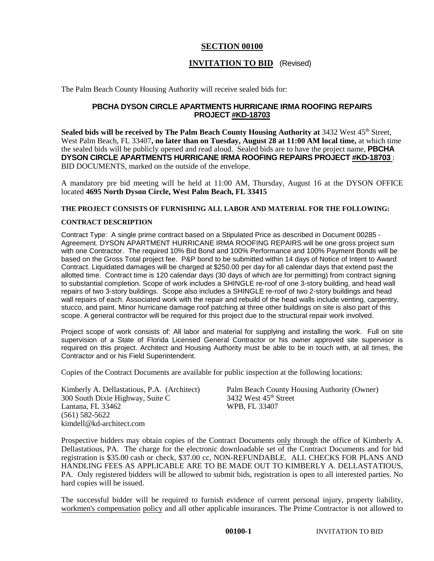## **SECTION 00100**

# **INVITATION TO BID** (Revised)

The Palm Beach County Housing Authority will receive sealed bids for:

## **PBCHA DYSON CIRCLE APARTMENTS HURRICANE IRMA ROOFING REPAIRS PROJECT #KD-18703**

**Sealed bids will be received by The Palm Beach County Housing Authority at** 3432 West 45<sup>th</sup> Street, West Palm Beach, FL 33407**, no later than on Tuesday, August 28 at 11:00 AM local time,** at which time the sealed bids will be publicly opened and read aloud. Sealed bids are to have the project name, **PBCHA DYSON CIRCLE APARTMENTS HURRICANE IRMA ROOFING REPAIRS PROJECT #KD-18703** : BID DOCUMENTS, marked on the outside of the envelope.

A mandatory pre bid meeting will be held at 11:00 AM, Thursday, August 16 at the DYSON OFFICE located **4695 North Dyson Circle, West Palm Beach, FL 33415** 

### **THE PROJECT CONSISTS OF FURNISHING ALL LABOR AND MATERIAL FOR THE FOLLOWING:**

### **CONTRACT DESCRIPTION**

Contract Type: A single prime contract based on a Stipulated Price as described in Document 00285 - Agreement. DYSON APARTMENT HURRICANE IRMA ROOFING REPAIRS will be one gross project sum with one Contractor. The required 10% Bid Bond and 100% Performance and 100% Payment Bonds will be based on the Gross Total project fee. P&P bond to be submitted within 14 days of Notice of Intent to Award Contract. Liquidated damages will be charged at \$250.00 per day for all calendar days that extend past the allotted time. Contract time is 120 calendar days (30 days of which are for permitting) from contract signing to substantial completion. Scope of work includes a SHINGLE re-roof of one 3-story building, and head wall repairs of two 3-story buildings. Scope also includes a SHINGLE re-roof of two 2-story buildings and head wall repairs of each. Associated work with the repair and rebuild of the head walls include venting, carpentry, stucco, and paint. Minor hurricane damage roof patching at three other buildings on site is also part of this scope. A general contractor will be required for this project due to the structural repair work involved.

Project scope of work consists of: All labor and material for supplying and installing the work. Full on site supervision of a State of Florida Licensed General Contractor or his owner approved site supervisor is required on this project. Architect and Housing Authority must be able to be in touch with, at all times, the Contractor and or his Field Superintendent.

Copies of the Contract Documents are available for public inspection at the following locations:

300 South Dixie Highway, Suite C<br>
Lantana, FL 33462 West 45<sup>th</sup> Street and Street Street Street Street Street Street Street Street Street Street S Lantana, FL  $33462$ (561) 582-5622 kimdell@kd-architect.com

Kimberly A. Dellastatious, P.A. (Architect) Palm Beach County Housing Authority (Owner) 300 South Dixie Highway, Suite C 3432 West 45<sup>th</sup> Street

Prospective bidders may obtain copies of the Contract Documents only through the office of Kimberly A. Dellastatious, PA. The charge for the electronic downloadable set of the Contract Documents and for bid registration is \$35.00 cash or check, \$37.00 cc, NON-REFUNDABLE. ALL CHECKS FOR PLANS AND HANDLING FEES AS APPLICABLE ARE TO BE MADE OUT TO KIMBERLY A. DELLASTATIOUS, PA. Only registered bidders will be allowed to submit bids, registration is open to all interested parties. No hard copies will be issued.

The successful bidder will be required to furnish evidence of current personal injury, property liability, workmen's compensation policy and all other applicable insurances. The Prime Contractor is not allowed to